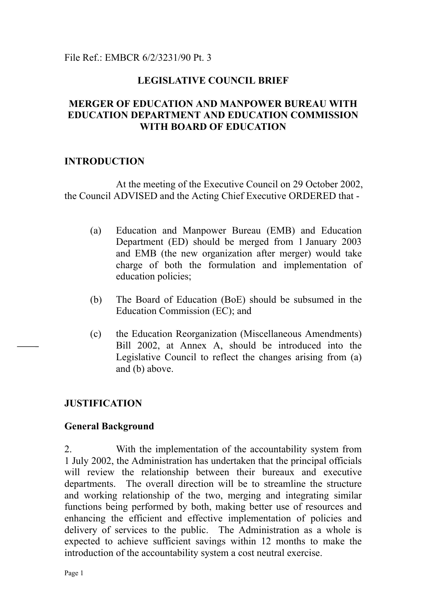## File Ref.: EMBCR 6/2/3231/90 Pt. 3

## **LEGISLATIVE COUNCIL BRIEF**

## **MERGER OF EDUCATION AND MANPOWER BUREAU WITH EDUCATION DEPARTMENT AND EDUCATION COMMISSION WITH BOARD OF EDUCATION**

### **INTRODUCTION**

At the meeting of the Executive Council on 29 October 2002, the Council ADVISED and the Acting Chief Executive ORDERED that -

- (a) Education and Manpower Bureau (EMB) and Education Department (ED) should be merged from 1 January 2003 and EMB (the new organization after merger) would take charge of both the formulation and implementation of education policies;
- (b) The Board of Education (BoE) should be subsumed in the Education Commission (EC); and
- (c) the Education Reorganization (Miscellaneous Amendments) Bill 2002, at Annex A, should be introduced into the Legislative Council to reflect the changes arising from (a) and (b) above.

## **JUSTIFICATION**

### **General Background**

2. With the implementation of the accountability system from 1 July 2002, the Administration has undertaken that the principal officials will review the relationship between their bureaux and executive departments. The overall direction will be to streamline the structure and working relationship of the two, merging and integrating similar functions being performed by both, making better use of resources and enhancing the efficient and effective implementation of policies and delivery of services to the public. The Administration as a whole is expected to achieve sufficient savings within 12 months to make the introduction of the accountability system a cost neutral exercise.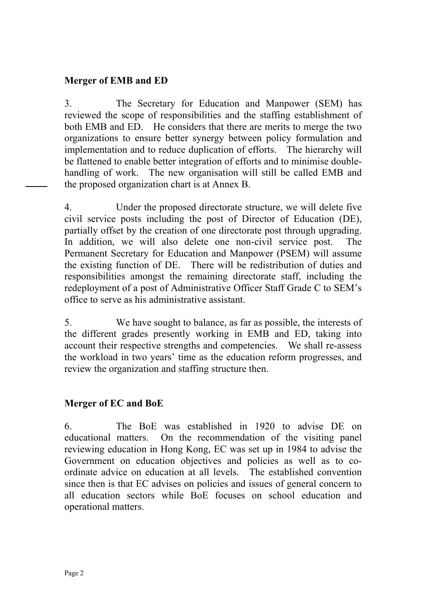## **Merger of EMB and ED**

3. The Secretary for Education and Manpower (SEM) has reviewed the scope of responsibilities and the staffing establishment of both EMB and ED. He considers that there are merits to merge the two organizations to ensure better synergy between policy formulation and implementation and to reduce duplication of efforts. The hierarchy will be flattened to enable better integration of efforts and to minimise doublehandling of work. The new organisation will still be called EMB and the proposed organization chart is at Annex B.

4. Under the proposed directorate structure, we will delete five civil service posts including the post of Director of Education (DE), partially offset by the creation of one directorate post through upgrading. In addition, we will also delete one non-civil service post. The Permanent Secretary for Education and Manpower (PSEM) will assume the existing function of DE. There will be redistribution of duties and responsibilities amongst the remaining directorate staff, including the redeployment of a post of Administrative Officer Staff Grade C to SEM's office to serve as his administrative assistant.

5. We have sought to balance, as far as possible, the interests of the different grades presently working in EMB and ED, taking into account their respective strengths and competencies. We shall re-assess the workload in two years' time as the education reform progresses, and review the organization and staffing structure then.

## **Merger of EC and BoE**

6. The BoE was established in 1920 to advise DE on educational matters. On the recommendation of the visiting panel reviewing education in Hong Kong, EC was set up in 1984 to advise the Government on education objectives and policies as well as to coordinate advice on education at all levels. The established convention since then is that EC advises on policies and issues of general concern to all education sectors while BoE focuses on school education and operational matters.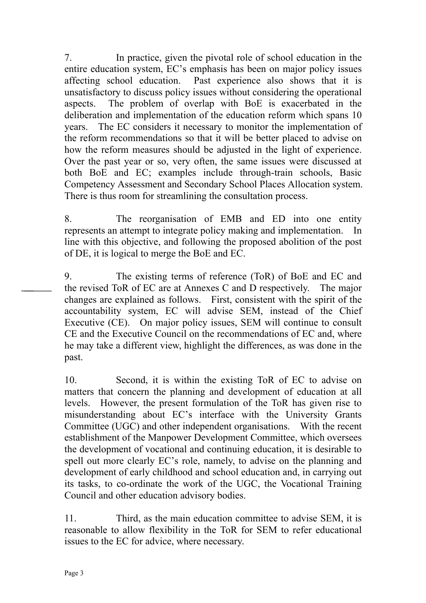7. In practice, given the pivotal role of school education in the entire education system, EC's emphasis has been on major policy issues affecting school education. Past experience also shows that it is unsatisfactory to discuss policy issues without considering the operational aspects. The problem of overlap with BoE is exacerbated in the deliberation and implementation of the education reform which spans 10 years. The EC considers it necessary to monitor the implementation of the reform recommendations so that it will be better placed to advise on how the reform measures should be adjusted in the light of experience. Over the past year or so, very often, the same issues were discussed at both BoE and EC; examples include through-train schools, Basic Competency Assessment and Secondary School Places Allocation system. There is thus room for streamlining the consultation process.

8. The reorganisation of EMB and ED into one entity represents an attempt to integrate policy making and implementation. In line with this objective, and following the proposed abolition of the post of DE, it is logical to merge the BoE and EC.

9. The existing terms of reference (ToR) of BoE and EC and the revised ToR of EC are at Annexes C and D respectively. The major changes are explained as follows. First, consistent with the spirit of the accountability system, EC will advise SEM, instead of the Chief Executive (CE). On major policy issues, SEM will continue to consult CE and the Executive Council on the recommendations of EC and, where he may take a different view, highlight the differences, as was done in the past.

10. Second, it is within the existing ToR of EC to advise on matters that concern the planning and development of education at all levels. However, the present formulation of the ToR has given rise to misunderstanding about EC's interface with the University Grants Committee (UGC) and other independent organisations. With the recent establishment of the Manpower Development Committee, which oversees the development of vocational and continuing education, it is desirable to spell out more clearly EC's role, namely, to advise on the planning and development of early childhood and school education and, in carrying out its tasks, to co-ordinate the work of the UGC, the Vocational Training Council and other education advisory bodies.

11. Third, as the main education committee to advise SEM, it is reasonable to allow flexibility in the ToR for SEM to refer educational issues to the EC for advice, where necessary.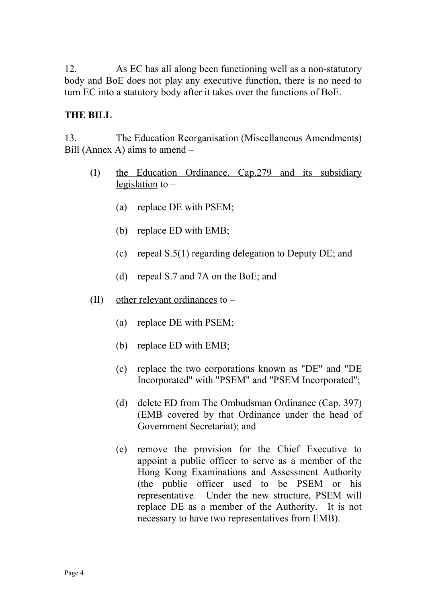12. As EC has all along been functioning well as a non-statutory body and BoE does not play any executive function, there is no need to turn EC into a statutory body after it takes over the functions of BoE.

## **THE BILL**

13. The Education Reorganisation (Miscellaneous Amendments) Bill (Annex A) aims to amend –

- (I) the Education Ordinance, Cap.279 and its subsidiary legislation to –
	- (a) replace DE with PSEM;
	- (b) replace ED with EMB;
	- (c) repeal S.5(1) regarding delegation to Deputy DE; and
	- (d) repeal S.7 and 7A on the BoE; and
- (II) other relevant ordinances to
	- (a) replace DE with PSEM;
	- (b) replace ED with EMB;
	- (c) replace the two corporations known as "DE" and "DE Incorporated" with "PSEM" and "PSEM Incorporated";
	- (d) delete ED from The Ombudsman Ordinance (Cap. 397) (EMB covered by that Ordinance under the head of Government Secretariat); and
	- (e) remove the provision for the Chief Executive to appoint a public officer to serve as a member of the Hong Kong Examinations and Assessment Authority (the public officer used to be PSEM or his representative. Under the new structure, PSEM will replace DE as a member of the Authority. It is not necessary to have two representatives from EMB).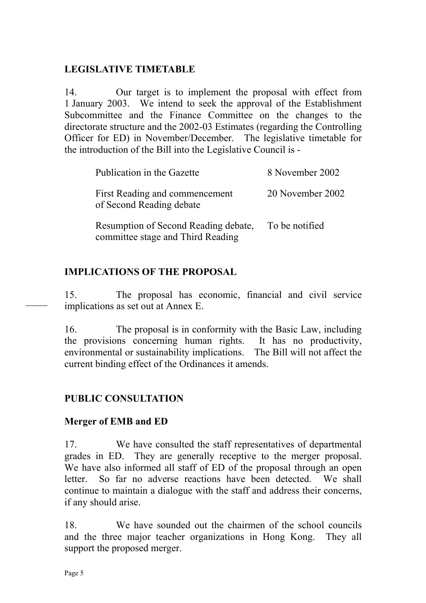## **LEGISLATIVE TIMETABLE**

14. Our target is to implement the proposal with effect from 1 January 2003. We intend to seek the approval of the Establishment Subcommittee and the Finance Committee on the changes to the directorate structure and the 2002-03 Estimates (regarding the Controlling Officer for ED) in November/December. The legislative timetable for the introduction of the Bill into the Legislative Council is -

| Publication in the Gazette                                                | 8 November 2002  |
|---------------------------------------------------------------------------|------------------|
| First Reading and commencement<br>of Second Reading debate                | 20 November 2002 |
| Resumption of Second Reading debate,<br>committee stage and Third Reading | To be notified   |

## **IMPLICATIONS OF THE PROPOSAL**

15. The proposal has economic, financial and civil service implications as set out at Annex E.

16. The proposal is in conformity with the Basic Law, including the provisions concerning human rights. It has no productivity, environmental or sustainability implications. The Bill will not affect the current binding effect of the Ordinances it amends.

## **PUBLIC CONSULTATION**

## **Merger of EMB and ED**

17. We have consulted the staff representatives of departmental grades in ED. They are generally receptive to the merger proposal. We have also informed all staff of ED of the proposal through an open letter. So far no adverse reactions have been detected. We shall continue to maintain a dialogue with the staff and address their concerns, if any should arise.

18. We have sounded out the chairmen of the school councils and the three major teacher organizations in Hong Kong. They all support the proposed merger.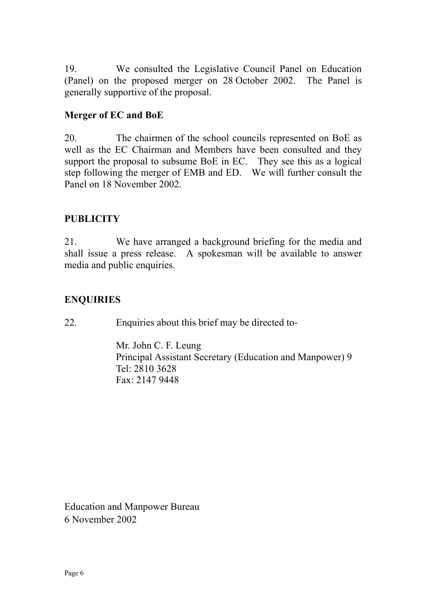19. We consulted the Legislative Council Panel on Education (Panel) on the proposed merger on 28 October 2002. The Panel is generally supportive of the proposal.

## **Merger of EC and BoE**

20. The chairmen of the school councils represented on BoE as well as the EC Chairman and Members have been consulted and they support the proposal to subsume BoE in EC. They see this as a logical step following the merger of EMB and ED. We will further consult the Panel on 18 November 2002.

## **PUBLICITY**

21. We have arranged a background briefing for the media and shall issue a press release. A spokesman will be available to answer media and public enquiries.

## **ENQUIRIES**

22. Enquiries about this brief may be directed to-

Mr. John C. F. Leung Principal Assistant Secretary (Education and Manpower) 9 Tel: 2810 3628 Fax: 2147 9448

Education and Manpower Bureau 6 November 2002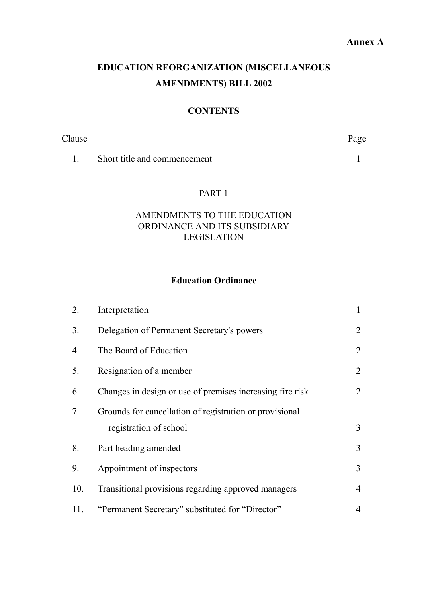# **EDUCATION REORGANIZATION (MISCELLANEOUS AMENDMENTS) BILL 2002**

### **CONTENTS**

Clause Page

[1.](#page-11-0) [Short title and commencement](#page-11-0) [1](#page-11-0)

#### PART 1

## AMENDMENTS TO THE EDUCATION ORDINANCE AND ITS SUBSIDIARY LEGISLATION

## **Education Ordinance**

| 2.  | Interpretation                                            | $\mathbf{1}$   |
|-----|-----------------------------------------------------------|----------------|
| 3.  | Delegation of Permanent Secretary's powers                | 2              |
| 4.  | The Board of Education                                    | 2              |
| 5.  | Resignation of a member                                   | $\overline{2}$ |
| 6.  | Changes in design or use of premises increasing fire risk | 2              |
| 7.  | Grounds for cancellation of registration or provisional   |                |
|     | registration of school                                    | 3              |
| 8.  | Part heading amended                                      | $\overline{3}$ |
| 9.  | Appointment of inspectors                                 | 3              |
| 10. | Transitional provisions regarding approved managers       | $\overline{4}$ |
| 11. | "Permanent Secretary" substituted for "Director"          | 4              |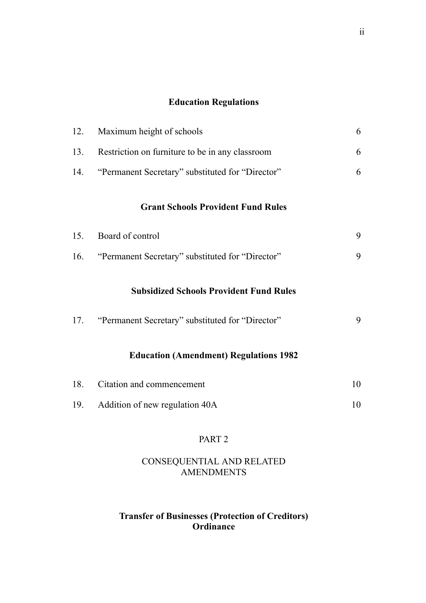## **[Education Regulations](#page-16-0)**

| 12. | Maximum height of schools                                                                          | 6  |
|-----|----------------------------------------------------------------------------------------------------|----|
| 13. | Restriction on furniture to be in any classroom                                                    | 6  |
| 14. | "Permanent Secretary" substituted for "Director"                                                   | 6  |
|     | <b>Grant Schools Provident Fund Rules</b>                                                          |    |
| 15. | Board of control                                                                                   | 9  |
| 16. | "Permanent Secretary" substituted for "Director"                                                   | 9  |
| 17. | <b>Subsidized Schools Provident Fund Rules</b><br>"Permanent Secretary" substituted for "Director" | 9  |
|     | <b>Education (Amendment) Regulations 1982</b>                                                      |    |
| 18. | Citation and commencement                                                                          | 10 |
| 19. | Addition of new regulation 40A                                                                     | 10 |
|     |                                                                                                    |    |

## PART 2

### CONSEQUENTIAL AND RELATED AMENDMENTS

## **Transfer of Businesses (Protection of Creditors) Ordinance**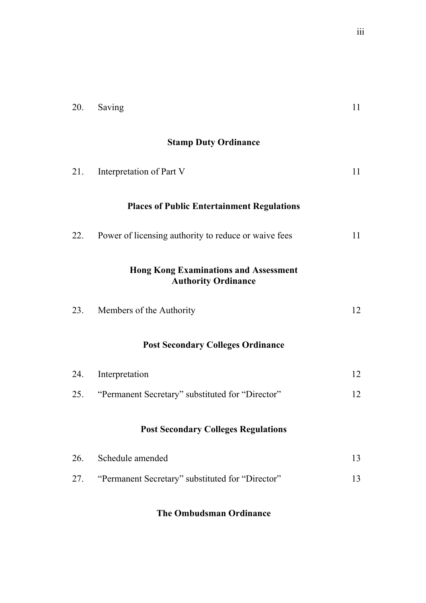| 20. | Saving                                                                     | 11 |
|-----|----------------------------------------------------------------------------|----|
|     | <b>Stamp Duty Ordinance</b>                                                |    |
| 21. | Interpretation of Part V                                                   | 11 |
|     | <b>Places of Public Entertainment Regulations</b>                          |    |
| 22. | Power of licensing authority to reduce or waive fees                       | 11 |
|     | <b>Hong Kong Examinations and Assessment</b><br><b>Authority Ordinance</b> |    |
| 23. | Members of the Authority                                                   | 12 |
|     | <b>Post Secondary Colleges Ordinance</b>                                   |    |
| 24. | Interpretation                                                             | 12 |
| 25. | "Permanent Secretary" substituted for "Director"                           | 12 |
|     | <b>Post Secondary Colleges Regulations</b>                                 |    |
| 26. | Schedule amended                                                           | 13 |
| 27. | "Permanent Secretary" substituted for "Director"                           | 13 |
|     |                                                                            |    |

## **[The Ombudsman Ordinance](#page-23-1)**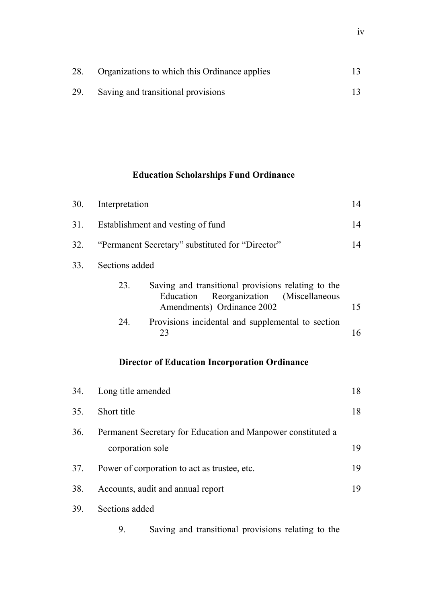| 28. | Organizations to which this Ordinance applies |  |
|-----|-----------------------------------------------|--|
| 29. | Saving and transitional provisions            |  |

# **Education Scholarships Fund Ordinance**

| 30. | Interpretation                                                                                                                           |    |  |
|-----|------------------------------------------------------------------------------------------------------------------------------------------|----|--|
| 31. | Establishment and vesting of fund                                                                                                        |    |  |
| 32. | "Permanent Secretary" substituted for "Director"                                                                                         | 14 |  |
| 33. | Sections added                                                                                                                           |    |  |
|     | Saving and transitional provisions relating to the<br>23.<br>Reorganization<br>(Miscellaneous<br>Education<br>Amendments) Ordinance 2002 | 15 |  |
|     | 24.<br>Provisions incidental and supplemental to section<br>23                                                                           | 16 |  |
|     | <b>Director of Education Incorporation Ordinance</b>                                                                                     |    |  |
| 34. | Long title amended                                                                                                                       | 18 |  |
| 35. | Short title                                                                                                                              | 18 |  |
| 36. | Permanent Secretary for Education and Manpower constituted a                                                                             |    |  |
|     | corporation sole                                                                                                                         | 19 |  |
| 37. | Power of corporation to act as trustee, etc.                                                                                             | 19 |  |
| 38. | 19<br>Accounts, audit and annual report                                                                                                  |    |  |
| 39. | Sections added                                                                                                                           |    |  |
|     | Saving and transitional provisions relating to the<br>9.                                                                                 |    |  |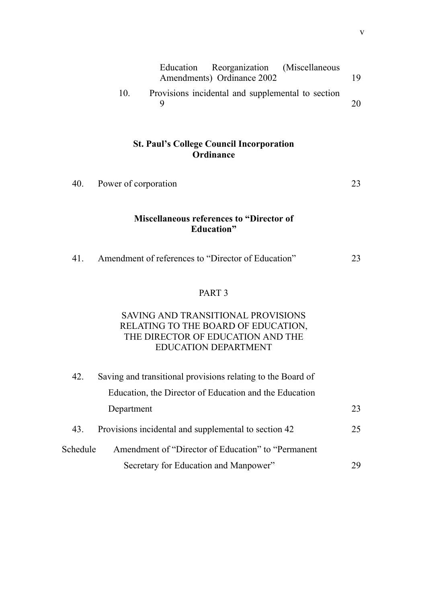|     | Education Reorganization (Miscellaneous           |    |
|-----|---------------------------------------------------|----|
|     | Amendments) Ordinance 2002                        | 19 |
| 10. | Provisions incidental and supplemental to section |    |
|     |                                                   | 20 |

### **St. Paul's College Council Incorporation Ordinance**

| 40. | Power of corporation                     |  |
|-----|------------------------------------------|--|
|     |                                          |  |
|     | Miscellaneous references to "Director of |  |

#### **Miscellaneous references to "Director of Education"**

| Amendment of references to "Director of Education"<br>41. |
|-----------------------------------------------------------|
|-----------------------------------------------------------|

### PART 3

### [SAVING AND TRANSITIONAL PROVISIONS](#page-33-1) RELATING TO THE BOARD OF EDUCATION, [THE DIRECTOR OF EDUCATION AND THE](#page-35-0) EDUCATION DEPARTMENT

| 42.      | Saving and transitional provisions relating to the Board of |    |
|----------|-------------------------------------------------------------|----|
|          | Education, the Director of Education and the Education      |    |
|          | Department                                                  | 23 |
| 43.      | Provisions incidental and supplemental to section 42        | 25 |
| Schedule | Amendment of "Director of Education" to "Permanent"         |    |
|          | Secretary for Education and Manpower"                       | 29 |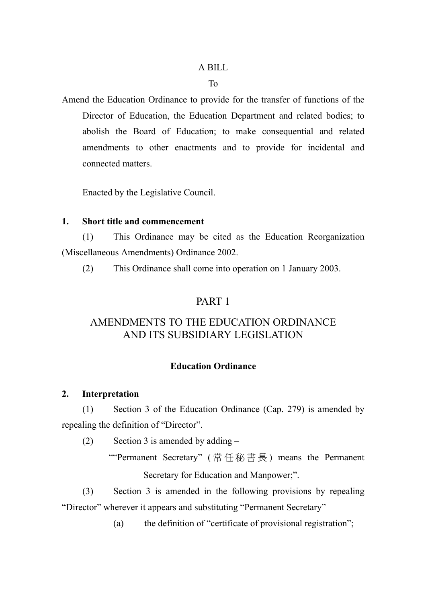### A BILL

#### To

Amend the Education Ordinance to provide for the transfer of functions of the Director of Education, the Education Department and related bodies; to abolish the Board of Education; to make consequential and related amendments to other enactments and to provide for incidental and connected matters.

Enacted by the Legislative Council.

### <span id="page-11-0"></span>**1. Short title and commencement**

(1) This Ordinance may be cited as the Education Reorganization (Miscellaneous Amendments) Ordinance 2002.

(2) This Ordinance shall come into operation on 1 January 2003.

### PART 1

## AMENDMENTS TO THE EDUCATION ORDINANCE AND ITS SUBSIDIARY LEGISLATION

### **Education Ordinance**

### <span id="page-11-1"></span>**2. Interpretation**

(1) Section 3 of the Education Ordinance (Cap. 279) is amended by repealing the definition of "Director".

(2) Section 3 is amended by adding  $-$ 

""Permanent Secretary" ( 常任秘書長 ) means the Permanent Secretary for Education and Manpower;".

(3) Section 3 is amended in the following provisions by repealing "Director" wherever it appears and substituting "Permanent Secretary" –

(a) the definition of "certificate of provisional registration";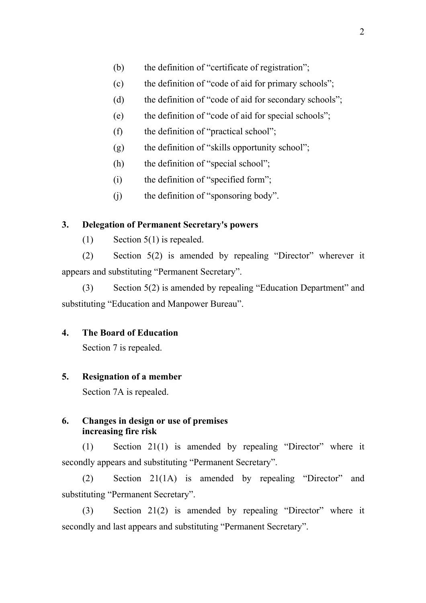- (b) the definition of "certificate of registration";
- (c) the definition of "code of aid for primary schools";
- (d) the definition of "code of aid for secondary schools";
- (e) the definition of "code of aid for special schools";
- (f) the definition of "practical school";
- (g) the definition of "skills opportunity school";
- (h) the definition of "special school";
- (i) the definition of "specified form";
- (j) the definition of "sponsoring body".

### **3. Delegation of Permanent Secretary's powers**

<span id="page-12-0"></span> $(1)$  Section 5(1) is repealed.

(2) Section 5(2) is amended by repealing "Director" wherever it appears and substituting "Permanent Secretary".

(3) Section 5(2) is amended by repealing "Education Department" and substituting "Education and Manpower Bureau".

### **4. The Board of Education**

<span id="page-12-1"></span>Section 7 is repealed.

### **5. Resignation of a member**

<span id="page-12-2"></span>Section 7A is repealed.

### <span id="page-12-3"></span>**6. Changes in design or use of premises increasing fire risk**

(1) Section 21(1) is amended by repealing "Director" where it secondly appears and substituting "Permanent Secretary".

(2) Section 21(1A) is amended by repealing "Director" and substituting "Permanent Secretary".

(3) Section 21(2) is amended by repealing "Director" where it secondly and last appears and substituting "Permanent Secretary".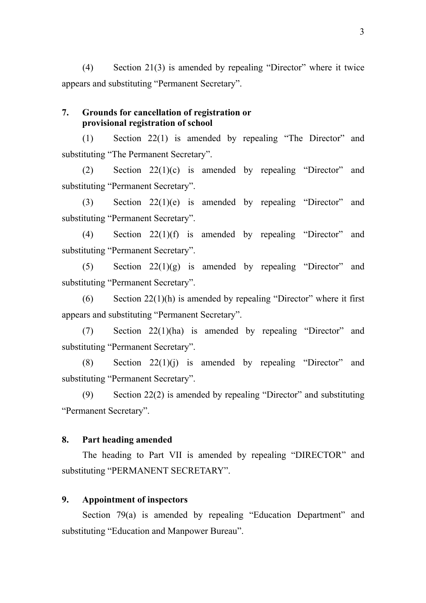(4) Section 21(3) is amended by repealing "Director" where it twice appears and substituting "Permanent Secretary".

### <span id="page-13-0"></span>**7. Grounds for cancellation of registration or provisional registration of school**

(1) Section 22(1) is amended by repealing "The Director" and substituting "The Permanent Secretary".

(2) Section 22(1)(c) is amended by repealing "Director" and substituting "Permanent Secretary".

(3) Section 22(1)(e) is amended by repealing "Director" and substituting "Permanent Secretary".

(4) Section 22(1)(f) is amended by repealing "Director" and substituting "Permanent Secretary".

(5) Section  $22(1)(g)$  is amended by repealing "Director" and substituting "Permanent Secretary".

(6) Section  $22(1)(h)$  is amended by repealing "Director" where it first appears and substituting "Permanent Secretary".

(7) Section 22(1)(ha) is amended by repealing "Director" and substituting "Permanent Secretary".

(8) Section  $22(1)(i)$  is amended by repealing "Director" and substituting "Permanent Secretary".

(9) Section 22(2) is amended by repealing "Director" and substituting "Permanent Secretary".

### <span id="page-13-1"></span>**8. Part heading amended**

The heading to Part VII is amended by repealing "DIRECTOR" and substituting "PERMANENT SECRETARY".

### <span id="page-13-2"></span>**9. Appointment of inspectors**

Section 79(a) is amended by repealing "Education Department" and substituting "Education and Manpower Bureau".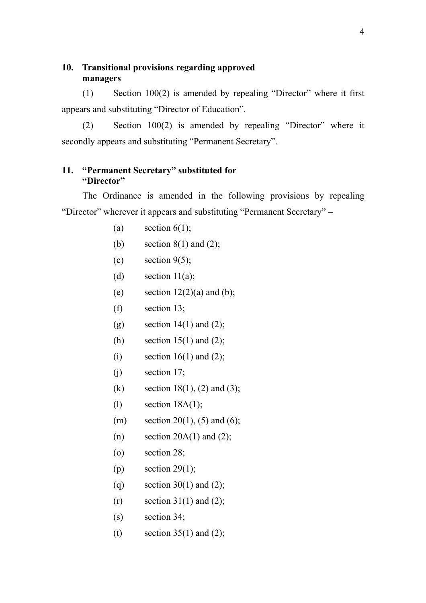### <span id="page-14-0"></span>**10. Transitional provisions regarding approved managers**

(1) Section 100(2) is amended by repealing "Director" where it first appears and substituting "Director of Education".

(2) Section 100(2) is amended by repealing "Director" where it secondly appears and substituting "Permanent Secretary".

### <span id="page-14-1"></span>**11. "Permanent Secretary" substituted for "Director"**

The Ordinance is amended in the following provisions by repealing "Director" wherever it appears and substituting "Permanent Secretary" –

- (a) section  $6(1)$ ;
- (b) section  $8(1)$  and  $(2)$ ;
- (c) section  $9(5)$ ;
- (d) section  $11(a)$ ;
- (e) section  $12(2)(a)$  and (b);
- (f) section 13;
- (g) section  $14(1)$  and  $(2)$ ;
- (h) section  $15(1)$  and  $(2)$ ;
- (i) section  $16(1)$  and  $(2)$ ;
- $(i)$  section 17;
- (k) section 18(1), (2) and (3);
- (l) section 18A(1);
- (m) section 20(1), (5) and (6);
- (n) section  $20A(1)$  and  $(2)$ ;
- (o) section 28;
- (p) section  $29(1)$ ;
- (q) section 30(1) and (2);
- $(r)$  section 31(1) and (2);
- (s) section 34;
- (t) section  $35(1)$  and  $(2)$ ;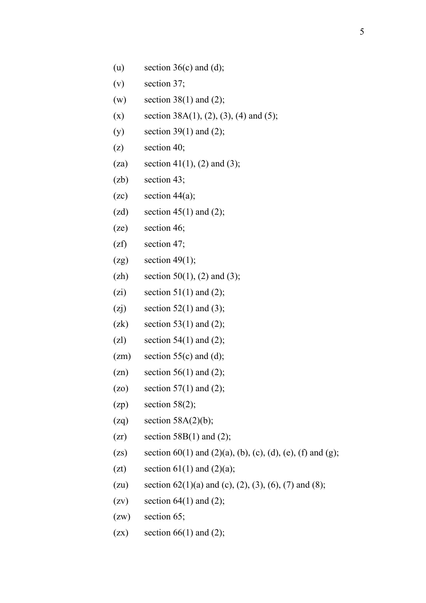- (u) section  $36(c)$  and (d);
- (v) section 37;
- (w) section  $38(1)$  and (2);
- (x) section 38A(1), (2), (3), (4) and (5);
- (y) section 39(1) and (2);
- (z) section 40;
- (za) section 41(1), (2) and (3);
- (zb) section 43;
- $(zc)$  section 44 $(a)$ ;
- (zd) section  $45(1)$  and (2);
- (ze) section 46;
- (zf) section 47;
- $(2g)$  section 49(1);
- (zh) section 50(1), (2) and (3);
- (zi) section  $51(1)$  and (2);
- (zj) section 52(1) and (3);
- (zk) section 53(1) and (2);
- (zl) section 54(1) and (2);
- $(zm)$  section 55(c) and (d);
- $(zn)$  section 56(1) and (2);
- (zo) section  $57(1)$  and (2);
- $(zp)$  section 58(2);
- (zq) section  $58A(2)(b)$ ;
- $(zr)$  section 58B(1) and (2);
- (zs) section 60(1) and (2)(a), (b), (c), (d), (e), (f) and (g);
- (zt) section  $61(1)$  and  $(2)(a)$ ;
- (zu) section  $62(1)(a)$  and (c), (2), (3), (6), (7) and (8);
- (zv) section  $64(1)$  and (2);
- (zw) section 65;
- (zx) section  $66(1)$  and (2);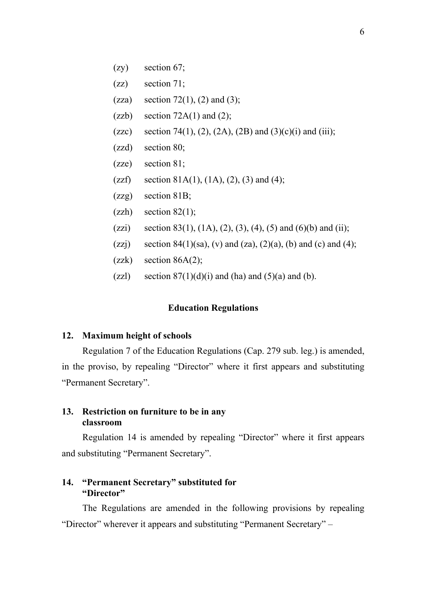- (zy) section 67;
- (zz) section 71;
- (zza) section 72(1), (2) and (3);
- (zzb) section  $72A(1)$  and  $(2)$ ;
- (zzc) section 74(1), (2), (2A), (2B) and (3)(c)(i) and (iii);
- (zzd) section 80;
- (zze) section 81;
- (zzf) section 81A(1), (1A), (2), (3) and (4);
- (zzg) section 81B;
- $(zzh)$  section  $82(1)$ ;
- (zzi) section 83(1), (1A), (2), (3), (4), (5) and (6)(b) and (ii);
- (zzj) section 84(1)(sa), (v) and (za), (2)(a), (b) and (c) and (4);
- $(zzk)$  section  $86A(2)$ ;
- (zzl) section  $87(1)(d)(i)$  and (ha) and (5)(a) and (b).

#### **Education Regulations**

#### <span id="page-16-0"></span>**12. Maximum height of schools**

Regulation 7 of the Education Regulations (Cap. 279 sub. leg.) is amended, in the proviso, by repealing "Director" where it first appears and substituting "Permanent Secretary".

#### <span id="page-16-1"></span>**13. Restriction on furniture to be in any classroom**

Regulation 14 is amended by repealing "Director" where it first appears and substituting "Permanent Secretary".

### <span id="page-16-2"></span>**14. "Permanent Secretary" substituted for "Director"**

The Regulations are amended in the following provisions by repealing "Director" wherever it appears and substituting "Permanent Secretary" –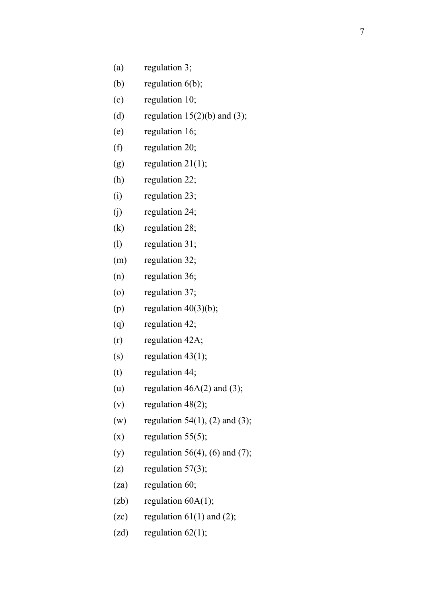- (a) regulation 3;
- (b) regulation 6(b);
- (c) regulation 10;
- (d) regulation  $15(2)(b)$  and  $(3)$ ;
- (e) regulation 16;
- (f) regulation 20;
- (g) regulation  $21(1)$ ;
- (h) regulation 22;
- (i) regulation 23;
- (j) regulation 24;
- (k) regulation 28;
- (l) regulation 31;
- (m) regulation 32;
- (n) regulation 36;
- (o) regulation 37;
- (p) regulation  $40(3)(b)$ ;
- (q) regulation 42;
- (r) regulation 42A;
- (s) regulation  $43(1)$ ;
- (t) regulation 44;
- (u) regulation  $46A(2)$  and (3);
- (v) regulation  $48(2)$ ;
- (w) regulation  $54(1)$ ,  $(2)$  and  $(3)$ ;
- $(x)$  regulation 55(5);
- (y) regulation 56(4), (6) and (7);
- (z) regulation  $57(3)$ ;
- (za) regulation 60;
- $(zb)$  regulation  $60A(1)$ ;
- (zc) regulation  $61(1)$  and  $(2)$ ;
- (zd) regulation  $62(1)$ ;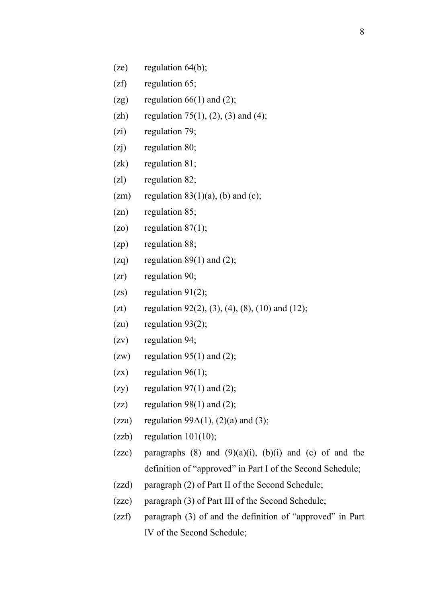- (ze) regulation 64(b);
- (zf) regulation 65;
- (zg) regulation  $66(1)$  and  $(2)$ ;
- (zh) regulation 75(1), (2), (3) and (4);
- (zi) regulation 79;
- (zj) regulation 80;
- (zk) regulation 81;
- (zl) regulation 82;
- (zm) regulation  $83(1)(a)$ , (b) and (c);
- (zn) regulation 85;
- $(20)$  regulation 87(1);
- (zp) regulation 88;
- (zq) regulation  $89(1)$  and (2);
- (zr) regulation 90;
- $(zs)$  regulation 91(2);
- (zt) regulation 92(2), (3), (4), (8), (10) and (12);
- (zu) regulation  $93(2)$ ;
- (zv) regulation 94;
- (zw) regulation  $95(1)$  and (2);
- (zx) regulation  $96(1)$ ;
- (zy) regulation  $97(1)$  and (2);
- (zz) regulation  $98(1)$  and (2);
- (zza) regulation  $99A(1)$ ,  $(2)(a)$  and  $(3)$ ;
- $(zzb)$  regulation  $101(10)$ ;
- (zzc) paragraphs  $(8)$  and  $(9)(a)(i)$ ,  $(b)(i)$  and  $(c)$  of and the definition of "approved" in Part I of the Second Schedule;
- (zzd) paragraph (2) of Part II of the Second Schedule;
- (zze) paragraph (3) of Part III of the Second Schedule;
- (zzf) paragraph (3) of and the definition of "approved" in Part IV of the Second Schedule;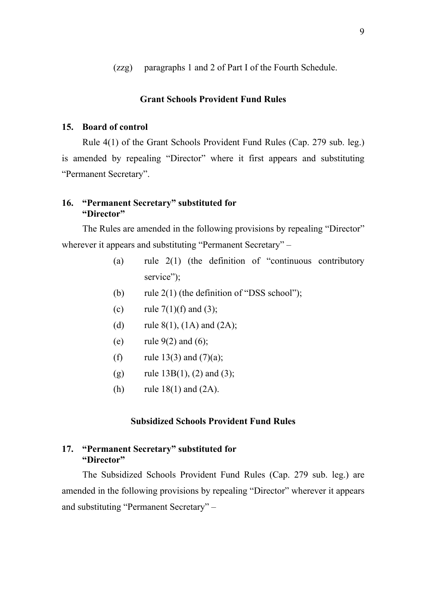(zzg) paragraphs 1 and 2 of Part I of the Fourth Schedule.

#### **Grant Schools Provident Fund Rules**

#### <span id="page-19-0"></span>**15. Board of control**

Rule 4(1) of the Grant Schools Provident Fund Rules (Cap. 279 sub. leg.) is amended by repealing "Director" where it first appears and substituting "Permanent Secretary".

#### <span id="page-19-1"></span>**16. "Permanent Secretary" substituted for "Director"**

The Rules are amended in the following provisions by repealing "Director" wherever it appears and substituting "Permanent Secretary" –

- (a) rule 2(1) (the definition of "continuous contributory service");
- (b) rule  $2(1)$  (the definition of "DSS school");
- (c) rule  $7(1)(f)$  and  $(3)$ ;
- (d) rule  $8(1)$ ,  $(1A)$  and  $(2A)$ ;
- (e) rule  $9(2)$  and  $(6)$ ;
- (f) rule  $13(3)$  and  $(7)(a)$ ;
- (g) rule  $13B(1)$ , (2) and (3);
- (h) rule  $18(1)$  and  $(2A)$ .

#### **Subsidized Schools Provident Fund Rules**

### <span id="page-19-2"></span>**17. "Permanent Secretary" substituted for "Director"**

The Subsidized Schools Provident Fund Rules (Cap. 279 sub. leg.) are amended in the following provisions by repealing "Director" wherever it appears and substituting "Permanent Secretary" –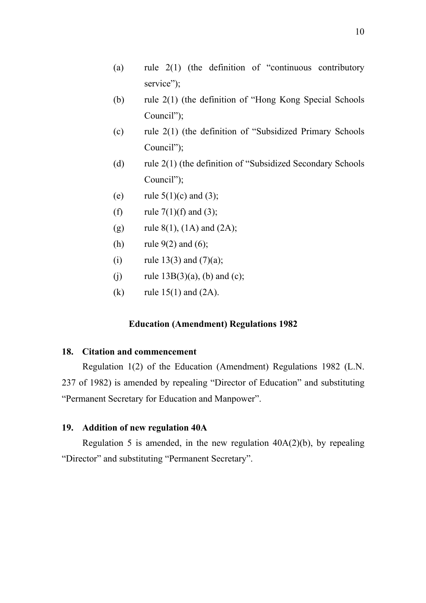- (a) rule 2(1) (the definition of "continuous contributory service");
- (b) rule 2(1) (the definition of "Hong Kong Special Schools Council");
- (c) rule 2(1) (the definition of "Subsidized Primary Schools Council");
- (d) rule 2(1) (the definition of "Subsidized Secondary Schools Council");
- (e) rule  $5(1)(c)$  and  $(3)$ ;
- (f) rule  $7(1)(f)$  and  $(3)$ ;
- (g) rule  $8(1)$ ,  $(1A)$  and  $(2A)$ ;
- (h) rule  $9(2)$  and  $(6)$ ;
- (i) rule 13(3) and  $(7)(a)$ ;
- (i) rule  $13B(3)(a)$ , (b) and (c);
- (k) rule  $15(1)$  and  $(2A)$ .

#### **Education (Amendment) Regulations 1982**

### <span id="page-20-0"></span>**18. Citation and commencement**

Regulation 1(2) of the Education (Amendment) Regulations 1982 (L.N. 237 of 1982) is amended by repealing "Director of Education" and substituting "Permanent Secretary for Education and Manpower".

### <span id="page-20-1"></span>**19. Addition of new regulation 40A**

Regulation 5 is amended, in the new regulation  $40A(2)(b)$ , by repealing "Director" and substituting "Permanent Secretary".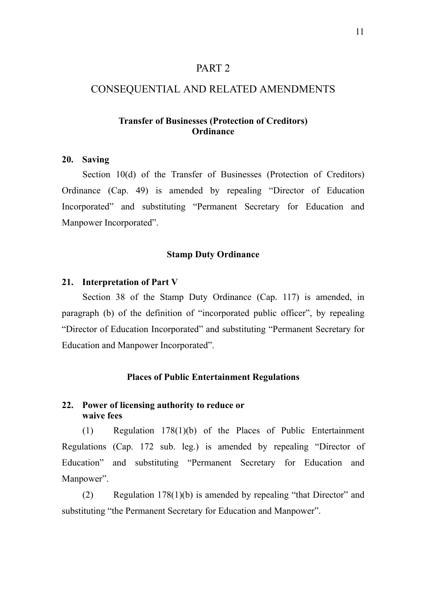### PART 2

#### CONSEQUENTIAL AND RELATED AMENDMENTS

### **Transfer of Businesses (Protection of Creditors) Ordinance**

#### **20. Saving**

Section 10(d) of the Transfer of Businesses (Protection of Creditors) Ordinance (Cap. 49) is amended by repealing "Director of Education Incorporated" and substituting "Permanent Secretary for Education and Manpower Incorporated".

#### **Stamp Duty Ordinance**

#### **21. Interpretation of Part V**

Section 38 of the Stamp Duty Ordinance (Cap. 117) is amended, in paragraph (b) of the definition of "incorporated public officer", by repealing "Director of Education Incorporated" and substituting "Permanent Secretary for Education and Manpower Incorporated".

#### **Places of Public Entertainment Regulations**

### **22. Power of licensing authority to reduce or waive fees**

(1) Regulation 178(1)(b) of the Places of Public Entertainment Regulations (Cap. 172 sub. leg.) is amended by repealing "Director of Education" and substituting "Permanent Secretary for Education and Manpower".

(2) Regulation 178(1)(b) is amended by repealing "that Director" and substituting "the Permanent Secretary for Education and Manpower".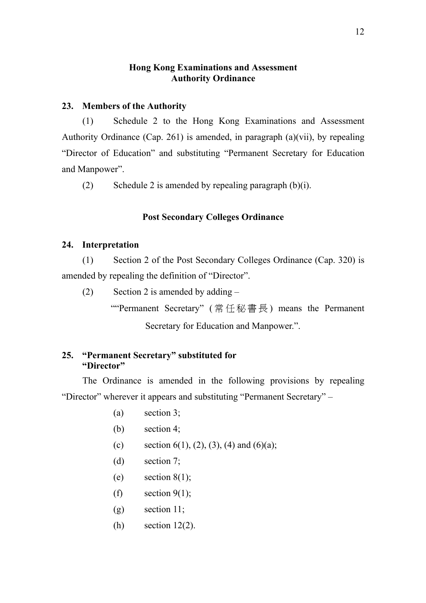### **Hong Kong Examinations and Assessment Authority Ordinance**

### <span id="page-22-0"></span>**23. Members of the Authority**

(1) Schedule 2 to the Hong Kong Examinations and Assessment Authority Ordinance (Cap. 261) is amended, in paragraph (a)(vii), by repealing "Director of Education" and substituting "Permanent Secretary for Education and Manpower".

(2) Schedule 2 is amended by repealing paragraph  $(b)(i)$ .

### **Post Secondary Colleges Ordinance**

#### **24. Interpretation**

(1) Section 2 of the Post Secondary Colleges Ordinance (Cap. 320) is amended by repealing the definition of "Director".

- (2) Section 2 is amended by adding  $-$ 
	- ""Permanent Secretary" ( 常任秘書長 ) means the Permanent

Secretary for Education and Manpower.".

### <span id="page-22-1"></span>**25. "Permanent Secretary" substituted for "Director"**

The Ordinance is amended in the following provisions by repealing "Director" wherever it appears and substituting "Permanent Secretary" –

- (a) section 3;
- (b) section 4;
- (c) section 6(1), (2), (3), (4) and (6)(a);
- (d) section 7;
- (e) section  $8(1)$ ;
- (f) section  $9(1)$ ;
- $(g)$  section 11;
- $(h)$  section 12(2).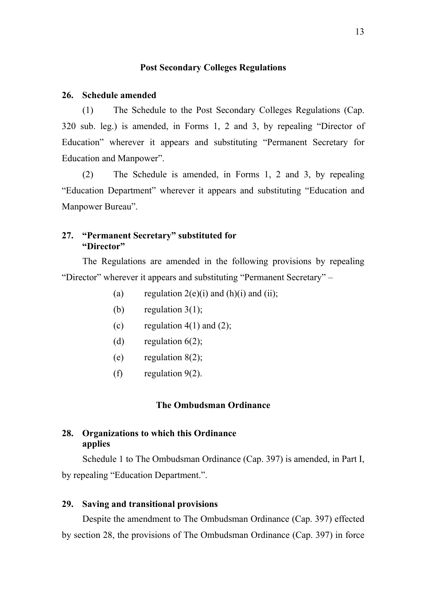#### **Post Secondary Colleges Regulations**

#### **26. Schedule amended**

(1) The Schedule to the Post Secondary Colleges Regulations (Cap. 320 sub. leg.) is amended, in Forms 1, 2 and 3, by repealing "Director of Education" wherever it appears and substituting "Permanent Secretary for Education and Manpower".

(2) The Schedule is amended, in Forms 1, 2 and 3, by repealing "Education Department" wherever it appears and substituting "Education and Manpower Bureau".

#### <span id="page-23-0"></span>**27. "Permanent Secretary" substituted for "Director"**

The Regulations are amended in the following provisions by repealing "Director" wherever it appears and substituting "Permanent Secretary" –

- (a) regulation  $2(e)(i)$  and  $(h)(i)$  and  $(ii)$ ;
- (b) regulation  $3(1)$ ;
- (c) regulation  $4(1)$  and  $(2)$ ;
- (d) regulation  $6(2)$ ;
- (e) regulation  $8(2)$ ;
- (f) regulation 9(2).

#### **The Ombudsman Ordinance**

### **28. Organizations to which this Ordinance applies**

Schedule 1 to The Ombudsman Ordinance (Cap. 397) is amended, in Part I, by repealing "Education Department.".

#### <span id="page-23-1"></span>**29. Saving and transitional provisions**

Despite the amendment to The Ombudsman Ordinance (Cap. 397) effected by section 28, the provisions of The Ombudsman Ordinance (Cap. 397) in force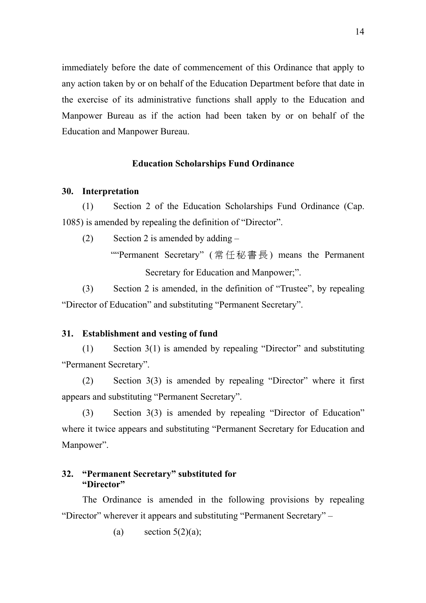immediately before the date of commencement of this Ordinance that apply to any action taken by or on behalf of the Education Department before that date in the exercise of its administrative functions shall apply to the Education and Manpower Bureau as if the action had been taken by or on behalf of the Education and Manpower Bureau.

#### **Education Scholarships Fund Ordinance**

#### **30. Interpretation**

(1) Section 2 of the Education Scholarships Fund Ordinance (Cap. 1085) is amended by repealing the definition of "Director".

(2) Section 2 is amended by adding  $-$ 

""Permanent Secretary" ( 常任秘書長 ) means the Permanent Secretary for Education and Manpower;".

(3) Section 2 is amended, in the definition of "Trustee", by repealing "Director of Education" and substituting "Permanent Secretary".

#### **31. Establishment and vesting of fund**

(1) Section 3(1) is amended by repealing "Director" and substituting "Permanent Secretary".

(2) Section 3(3) is amended by repealing "Director" where it first appears and substituting "Permanent Secretary".

(3) Section 3(3) is amended by repealing "Director of Education" where it twice appears and substituting "Permanent Secretary for Education and Manpower".

#### **32. "Permanent Secretary" substituted for "Director"**

The Ordinance is amended in the following provisions by repealing "Director" wherever it appears and substituting "Permanent Secretary" –

(a) section  $5(2)(a)$ ;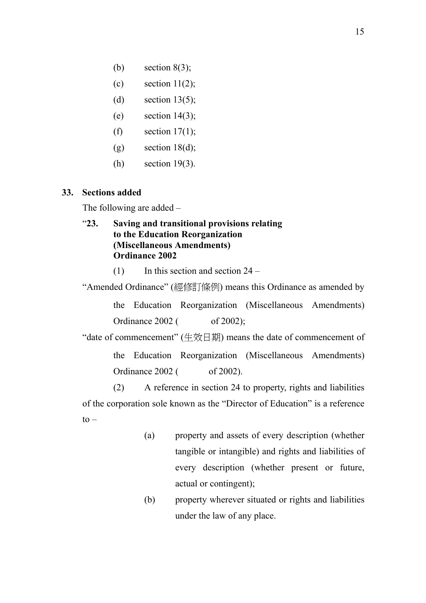(b) section  $8(3)$ ;

(c) section  $11(2)$ ;

- (d) section  $13(5)$ ;
- (e) section  $14(3)$ ;
- (f) section  $17(1)$ ;
- $(g)$  section 18(d);
- (h) section 19(3).

#### **33. Sections added**

The following are added –

### <span id="page-25-0"></span>"**23. Saving and transitional provisions relating to the Education Reorganization (Miscellaneous Amendments) Ordinance 2002**

 $(1)$  In this section and section 24 –

"Amended Ordinance" (經修訂條例) means this Ordinance as amended by

the Education Reorganization (Miscellaneous Amendments) Ordinance  $2002$  ( of  $2002$ );

"date of commencement" (生效日期) means the date of commencement of the Education Reorganization (Miscellaneous Amendments) Ordinance 2002 ( of 2002).

(2) A reference in section 24 to property, rights and liabilities of the corporation sole known as the "Director of Education" is a reference  $to -$ 

- (a) property and assets of every description (whether tangible or intangible) and rights and liabilities of every description (whether present or future, actual or contingent);
- (b) property wherever situated or rights and liabilities under the law of any place.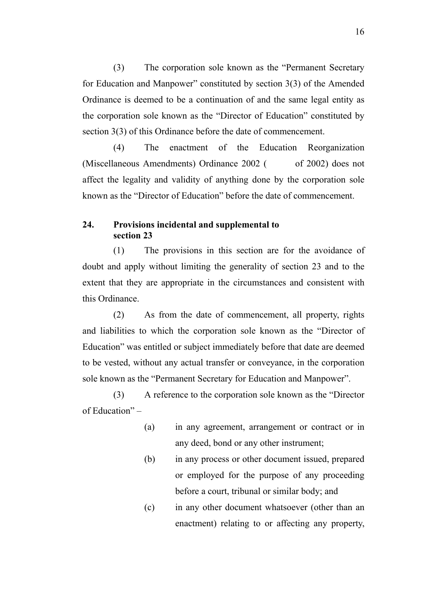(3) The corporation sole known as the "Permanent Secretary for Education and Manpower" constituted by section 3(3) of the Amended Ordinance is deemed to be a continuation of and the same legal entity as the corporation sole known as the "Director of Education" constituted by section 3(3) of this Ordinance before the date of commencement.

(4) The enactment of the Education Reorganization (Miscellaneous Amendments) Ordinance  $2002$  ( of 2002) does not affect the legality and validity of anything done by the corporation sole known as the "Director of Education" before the date of commencement.

### <span id="page-26-0"></span>**24. Provisions incidental and supplemental to section 23**

(1) The provisions in this section are for the avoidance of doubt and apply without limiting the generality of section 23 and to the extent that they are appropriate in the circumstances and consistent with this Ordinance.

(2) As from the date of commencement, all property, rights and liabilities to which the corporation sole known as the "Director of Education" was entitled or subject immediately before that date are deemed to be vested, without any actual transfer or conveyance, in the corporation sole known as the "Permanent Secretary for Education and Manpower".

(3) A reference to the corporation sole known as the "Director of Education" –

- (a) in any agreement, arrangement or contract or in any deed, bond or any other instrument;
- (b) in any process or other document issued, prepared or employed for the purpose of any proceeding before a court, tribunal or similar body; and
- (c) in any other document whatsoever (other than an enactment) relating to or affecting any property,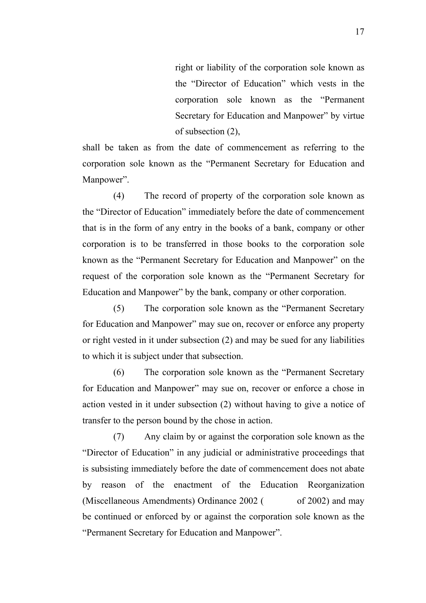right or liability of the corporation sole known as the "Director of Education" which vests in the corporation sole known as the "Permanent Secretary for Education and Manpower" by virtue of subsection (2),

shall be taken as from the date of commencement as referring to the corporation sole known as the "Permanent Secretary for Education and Manpower".

(4) The record of property of the corporation sole known as the "Director of Education" immediately before the date of commencement that is in the form of any entry in the books of a bank, company or other corporation is to be transferred in those books to the corporation sole known as the "Permanent Secretary for Education and Manpower" on the request of the corporation sole known as the "Permanent Secretary for Education and Manpower" by the bank, company or other corporation.

(5) The corporation sole known as the "Permanent Secretary for Education and Manpower" may sue on, recover or enforce any property or right vested in it under subsection (2) and may be sued for any liabilities to which it is subject under that subsection.

(6) The corporation sole known as the "Permanent Secretary for Education and Manpower" may sue on, recover or enforce a chose in action vested in it under subsection (2) without having to give a notice of transfer to the person bound by the chose in action.

(7) Any claim by or against the corporation sole known as the "Director of Education" in any judicial or administrative proceedings that is subsisting immediately before the date of commencement does not abate by reason of the enactment of the Education Reorganization (Miscellaneous Amendments) Ordinance  $2002$  ( of 2002) and may be continued or enforced by or against the corporation sole known as the "Permanent Secretary for Education and Manpower".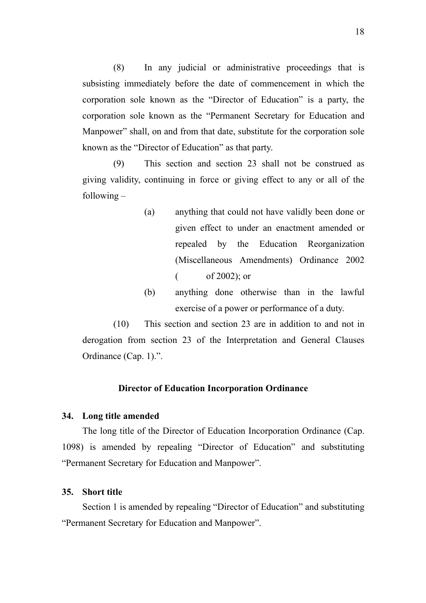(8) In any judicial or administrative proceedings that is subsisting immediately before the date of commencement in which the corporation sole known as the "Director of Education" is a party, the corporation sole known as the "Permanent Secretary for Education and Manpower" shall, on and from that date, substitute for the corporation sole known as the "Director of Education" as that party.

(9) This section and section 23 shall not be construed as giving validity, continuing in force or giving effect to any or all of the following –

- (a) anything that could not have validly been done or given effect to under an enactment amended or repealed by the Education Reorganization (Miscellaneous Amendments) Ordinance 2002  $\frac{\text{of } 2002}{\text{or}}$
- (b) anything done otherwise than in the lawful exercise of a power or performance of a duty.

(10) This section and section 23 are in addition to and not in derogation from section 23 of the Interpretation and General Clauses Ordinance (Cap. 1).".

#### **Director of Education Incorporation Ordinance**

#### <span id="page-28-0"></span>**34. Long title amended**

The long title of the Director of Education Incorporation Ordinance (Cap. 1098) is amended by repealing "Director of Education" and substituting "Permanent Secretary for Education and Manpower".

#### <span id="page-28-1"></span>**35. Short title**

Section 1 is amended by repealing "Director of Education" and substituting "Permanent Secretary for Education and Manpower".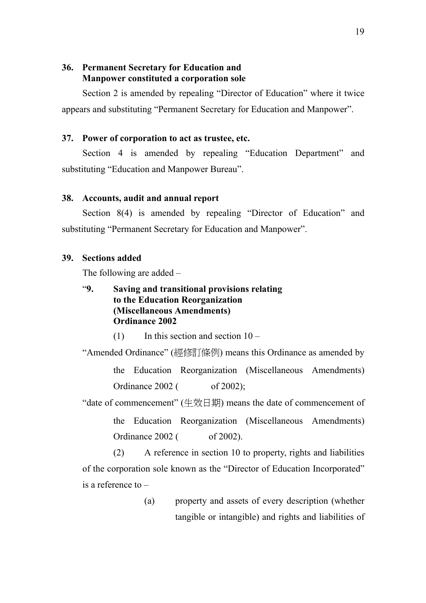### <span id="page-29-0"></span>**36. Permanent Secretary for Education and Manpower constituted a corporation sole**

Section 2 is amended by repealing "Director of Education" where it twice appears and substituting "Permanent Secretary for Education and Manpower".

### **37. Power of corporation to act as trustee, etc.**

Section 4 is amended by repealing "Education Department" and substituting "Education and Manpower Bureau".

#### <span id="page-29-1"></span>**38. Accounts, audit and annual report**

Section 8(4) is amended by repealing "Director of Education" and substituting "Permanent Secretary for Education and Manpower".

#### **39. Sections added**

The following are added –

## <span id="page-29-2"></span>"**9. Saving and transitional provisions relating to the Education Reorganization (Miscellaneous Amendments) Ordinance 2002**

 $(1)$  In this section and section  $10 -$ 

"Amended Ordinance" (經修訂條例) means this Ordinance as amended by the Education Reorganization (Miscellaneous Amendments) Ordinance 2002 ( of 2002);

"date of commencement" (生效日期) means the date of commencement of

the Education Reorganization (Miscellaneous Amendments) Ordinance 2002 ( of 2002).

(2) A reference in section 10 to property, rights and liabilities of the corporation sole known as the "Director of Education Incorporated" is a reference to –

> (a) property and assets of every description (whether tangible or intangible) and rights and liabilities of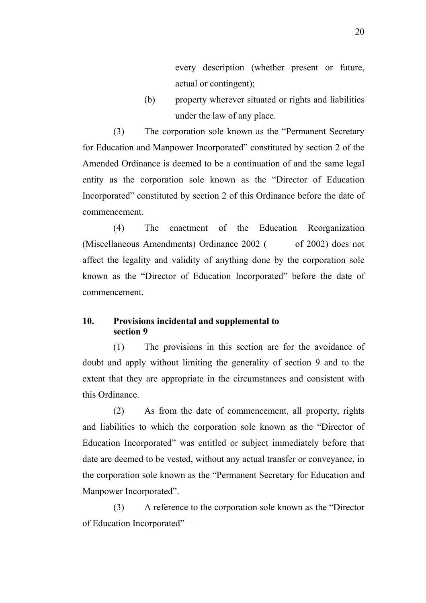every description (whether present or future, actual or contingent);

(b) property wherever situated or rights and liabilities under the law of any place.

(3) The corporation sole known as the "Permanent Secretary for Education and Manpower Incorporated" constituted by section 2 of the Amended Ordinance is deemed to be a continuation of and the same legal entity as the corporation sole known as the "Director of Education Incorporated" constituted by section 2 of this Ordinance before the date of commencement.

(4) The enactment of the Education Reorganization (Miscellaneous Amendments) Ordinance 2002 ( of 2002) does not affect the legality and validity of anything done by the corporation sole known as the "Director of Education Incorporated" before the date of commencement.

#### <span id="page-30-0"></span>**10. Provisions incidental and supplemental to section 9**

(1) The provisions in this section are for the avoidance of doubt and apply without limiting the generality of section 9 and to the extent that they are appropriate in the circumstances and consistent with this Ordinance.

(2) As from the date of commencement, all property, rights and liabilities to which the corporation sole known as the "Director of Education Incorporated" was entitled or subject immediately before that date are deemed to be vested, without any actual transfer or conveyance, in the corporation sole known as the "Permanent Secretary for Education and Manpower Incorporated".

(3) A reference to the corporation sole known as the "Director of Education Incorporated" –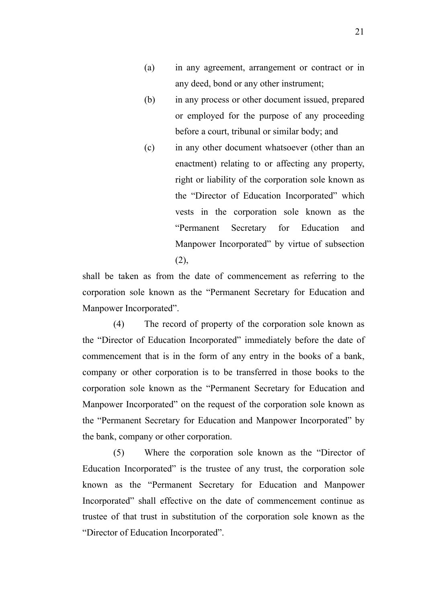- (a) in any agreement, arrangement or contract or in any deed, bond or any other instrument;
- (b) in any process or other document issued, prepared or employed for the purpose of any proceeding before a court, tribunal or similar body; and
- (c) in any other document whatsoever (other than an enactment) relating to or affecting any property, right or liability of the corporation sole known as the "Director of Education Incorporated" which vests in the corporation sole known as the "Permanent Secretary for Education and Manpower Incorporated" by virtue of subsection (2),

shall be taken as from the date of commencement as referring to the corporation sole known as the "Permanent Secretary for Education and Manpower Incorporated".

(4) The record of property of the corporation sole known as the "Director of Education Incorporated" immediately before the date of commencement that is in the form of any entry in the books of a bank, company or other corporation is to be transferred in those books to the corporation sole known as the "Permanent Secretary for Education and Manpower Incorporated" on the request of the corporation sole known as the "Permanent Secretary for Education and Manpower Incorporated" by the bank, company or other corporation.

(5) Where the corporation sole known as the "Director of Education Incorporated" is the trustee of any trust, the corporation sole known as the "Permanent Secretary for Education and Manpower Incorporated" shall effective on the date of commencement continue as trustee of that trust in substitution of the corporation sole known as the "Director of Education Incorporated".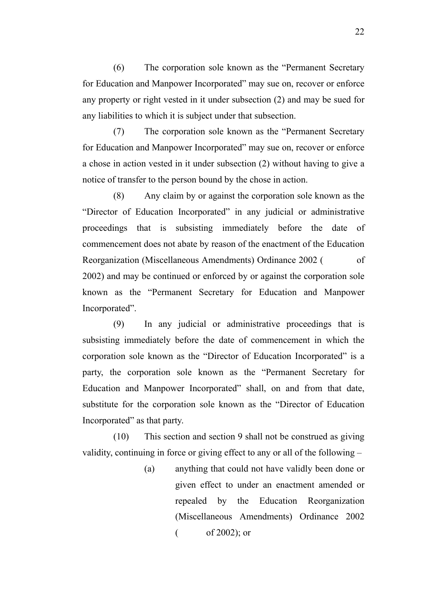(6) The corporation sole known as the "Permanent Secretary for Education and Manpower Incorporated" may sue on, recover or enforce any property or right vested in it under subsection (2) and may be sued for any liabilities to which it is subject under that subsection.

(7) The corporation sole known as the "Permanent Secretary for Education and Manpower Incorporated" may sue on, recover or enforce a chose in action vested in it under subsection (2) without having to give a notice of transfer to the person bound by the chose in action.

(8) Any claim by or against the corporation sole known as the "Director of Education Incorporated" in any judicial or administrative proceedings that is subsisting immediately before the date of commencement does not abate by reason of the enactment of the Education Reorganization (Miscellaneous Amendments) Ordinance 2002 (ordinance 2002) 2002) and may be continued or enforced by or against the corporation sole known as the "Permanent Secretary for Education and Manpower Incorporated".

(9) In any judicial or administrative proceedings that is subsisting immediately before the date of commencement in which the corporation sole known as the "Director of Education Incorporated" is a party, the corporation sole known as the "Permanent Secretary for Education and Manpower Incorporated" shall, on and from that date, substitute for the corporation sole known as the "Director of Education Incorporated" as that party.

(10) This section and section 9 shall not be construed as giving validity, continuing in force or giving effect to any or all of the following –

> (a) anything that could not have validly been done or given effect to under an enactment amended or repealed by the Education Reorganization (Miscellaneous Amendments) Ordinance 2002  $\frac{\text{of } 2002}{\text{or}}$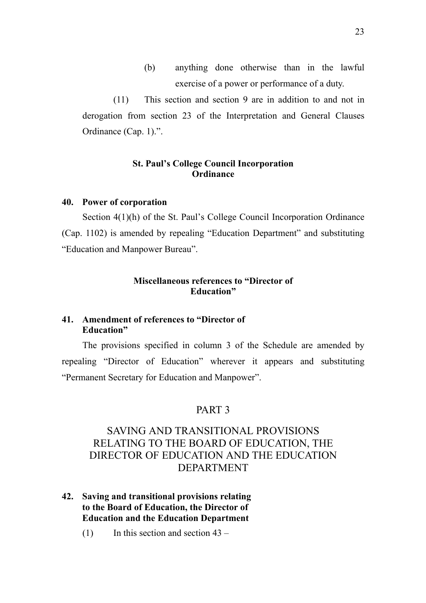(b) anything done otherwise than in the lawful exercise of a power or performance of a duty.

(11) This section and section 9 are in addition to and not in derogation from section 23 of the Interpretation and General Clauses Ordinance (Cap. 1).".

### **St. Paul's College Council Incorporation Ordinance**

#### <span id="page-33-0"></span>**40. Power of corporation**

Section 4(1)(h) of the St. Paul's College Council Incorporation Ordinance (Cap. 1102) is amended by repealing "Education Department" and substituting "Education and Manpower Bureau".

### **Miscellaneous references to "Director of Education"**

### **41. Amendment of references to "Director of Education"**

The provisions specified in column 3 of the Schedule are amended by repealing "Director of Education" wherever it appears and substituting "Permanent Secretary for Education and Manpower".

### PART 3

## SAVING AND TRANSITIONAL PROVISIONS RELATING TO THE BOARD OF EDUCATION, THE DIRECTOR OF EDUCATION AND THE EDUCATION DEPARTMENT

- <span id="page-33-1"></span>**42. Saving and transitional provisions relating to the Board of Education, the Director of Education and the Education Department**
	- (1) In this section and section  $43 -$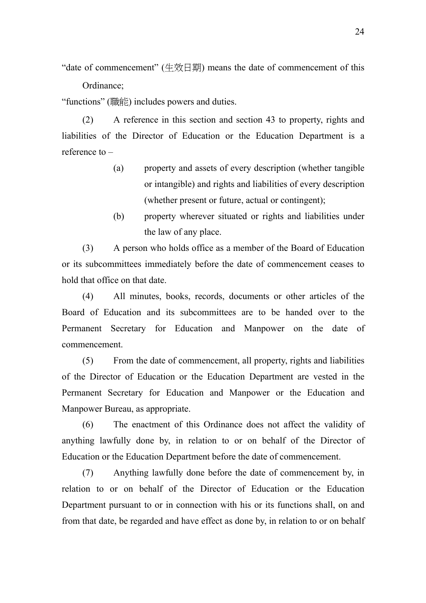"date of commencement" (生效日期) means the date of commencement of this Ordinance;

"functions" (職能) includes powers and duties.

(2) A reference in this section and section 43 to property, rights and liabilities of the Director of Education or the Education Department is a reference to –

- (a) property and assets of every description (whether tangible or intangible) and rights and liabilities of every description (whether present or future, actual or contingent);
- (b) property wherever situated or rights and liabilities under the law of any place.

(3) A person who holds office as a member of the Board of Education or its subcommittees immediately before the date of commencement ceases to hold that office on that date.

(4) All minutes, books, records, documents or other articles of the Board of Education and its subcommittees are to be handed over to the Permanent Secretary for Education and Manpower on the date of commencement.

(5) From the date of commencement, all property, rights and liabilities of the Director of Education or the Education Department are vested in the Permanent Secretary for Education and Manpower or the Education and Manpower Bureau, as appropriate.

(6) The enactment of this Ordinance does not affect the validity of anything lawfully done by, in relation to or on behalf of the Director of Education or the Education Department before the date of commencement.

(7) Anything lawfully done before the date of commencement by, in relation to or on behalf of the Director of Education or the Education Department pursuant to or in connection with his or its functions shall, on and from that date, be regarded and have effect as done by, in relation to or on behalf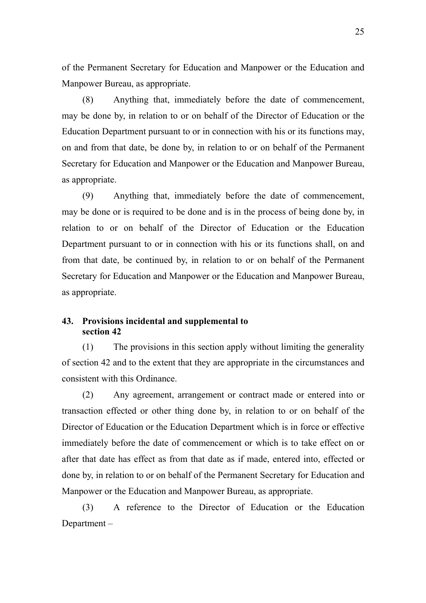of the Permanent Secretary for Education and Manpower or the Education and Manpower Bureau, as appropriate.

(8) Anything that, immediately before the date of commencement, may be done by, in relation to or on behalf of the Director of Education or the Education Department pursuant to or in connection with his or its functions may, on and from that date, be done by, in relation to or on behalf of the Permanent Secretary for Education and Manpower or the Education and Manpower Bureau, as appropriate.

(9) Anything that, immediately before the date of commencement, may be done or is required to be done and is in the process of being done by, in relation to or on behalf of the Director of Education or the Education Department pursuant to or in connection with his or its functions shall, on and from that date, be continued by, in relation to or on behalf of the Permanent Secretary for Education and Manpower or the Education and Manpower Bureau, as appropriate.

#### <span id="page-35-0"></span>**43. Provisions incidental and supplemental to section 42**

(1) The provisions in this section apply without limiting the generality of section 42 and to the extent that they are appropriate in the circumstances and consistent with this Ordinance.

(2) Any agreement, arrangement or contract made or entered into or transaction effected or other thing done by, in relation to or on behalf of the Director of Education or the Education Department which is in force or effective immediately before the date of commencement or which is to take effect on or after that date has effect as from that date as if made, entered into, effected or done by, in relation to or on behalf of the Permanent Secretary for Education and Manpower or the Education and Manpower Bureau, as appropriate.

(3) A reference to the Director of Education or the Education Department –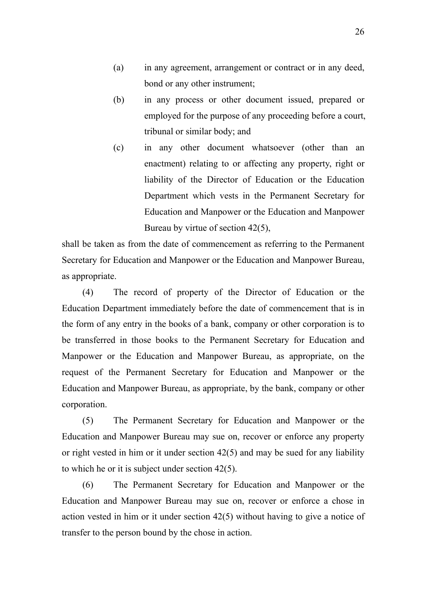- (a) in any agreement, arrangement or contract or in any deed, bond or any other instrument;
- (b) in any process or other document issued, prepared or employed for the purpose of any proceeding before a court, tribunal or similar body; and
- (c) in any other document whatsoever (other than an enactment) relating to or affecting any property, right or liability of the Director of Education or the Education Department which vests in the Permanent Secretary for Education and Manpower or the Education and Manpower Bureau by virtue of section 42(5),

shall be taken as from the date of commencement as referring to the Permanent Secretary for Education and Manpower or the Education and Manpower Bureau, as appropriate.

(4) The record of property of the Director of Education or the Education Department immediately before the date of commencement that is in the form of any entry in the books of a bank, company or other corporation is to be transferred in those books to the Permanent Secretary for Education and Manpower or the Education and Manpower Bureau, as appropriate, on the request of the Permanent Secretary for Education and Manpower or the Education and Manpower Bureau, as appropriate, by the bank, company or other corporation.

(5) The Permanent Secretary for Education and Manpower or the Education and Manpower Bureau may sue on, recover or enforce any property or right vested in him or it under section 42(5) and may be sued for any liability to which he or it is subject under section 42(5).

(6) The Permanent Secretary for Education and Manpower or the Education and Manpower Bureau may sue on, recover or enforce a chose in action vested in him or it under section 42(5) without having to give a notice of transfer to the person bound by the chose in action.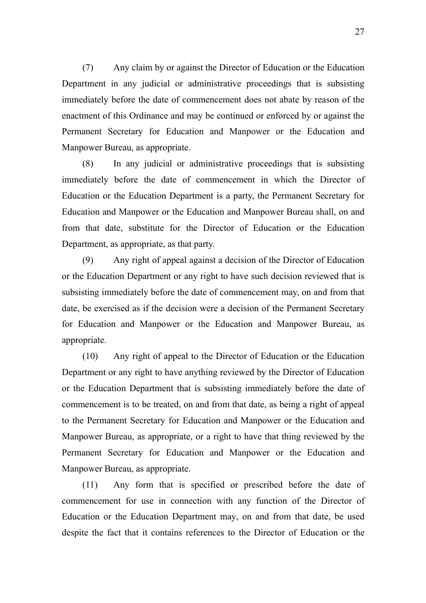(7) Any claim by or against the Director of Education or the Education Department in any judicial or administrative proceedings that is subsisting immediately before the date of commencement does not abate by reason of the enactment of this Ordinance and may be continued or enforced by or against the Permanent Secretary for Education and Manpower or the Education and Manpower Bureau, as appropriate.

(8) In any judicial or administrative proceedings that is subsisting immediately before the date of commencement in which the Director of Education or the Education Department is a party, the Permanent Secretary for Education and Manpower or the Education and Manpower Bureau shall, on and from that date, substitute for the Director of Education or the Education Department, as appropriate, as that party.

(9) Any right of appeal against a decision of the Director of Education or the Education Department or any right to have such decision reviewed that is subsisting immediately before the date of commencement may, on and from that date, be exercised as if the decision were a decision of the Permanent Secretary for Education and Manpower or the Education and Manpower Bureau, as appropriate.

(10) Any right of appeal to the Director of Education or the Education Department or any right to have anything reviewed by the Director of Education or the Education Department that is subsisting immediately before the date of commencement is to be treated, on and from that date, as being a right of appeal to the Permanent Secretary for Education and Manpower or the Education and Manpower Bureau, as appropriate, or a right to have that thing reviewed by the Permanent Secretary for Education and Manpower or the Education and Manpower Bureau, as appropriate.

(11) Any form that is specified or prescribed before the date of commencement for use in connection with any function of the Director of Education or the Education Department may, on and from that date, be used despite the fact that it contains references to the Director of Education or the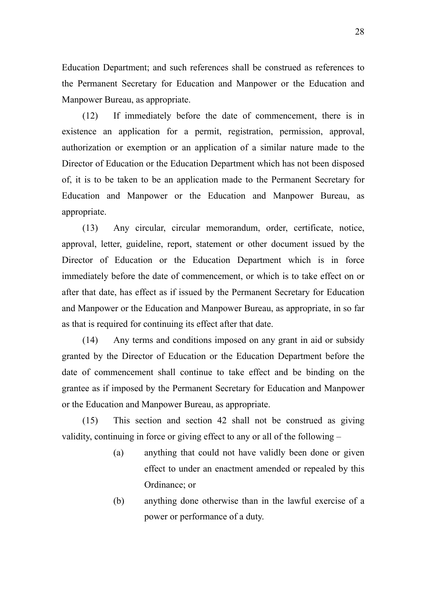Education Department; and such references shall be construed as references to the Permanent Secretary for Education and Manpower or the Education and Manpower Bureau, as appropriate.

(12) If immediately before the date of commencement, there is in existence an application for a permit, registration, permission, approval, authorization or exemption or an application of a similar nature made to the Director of Education or the Education Department which has not been disposed of, it is to be taken to be an application made to the Permanent Secretary for Education and Manpower or the Education and Manpower Bureau, as appropriate.

(13) Any circular, circular memorandum, order, certificate, notice, approval, letter, guideline, report, statement or other document issued by the Director of Education or the Education Department which is in force immediately before the date of commencement, or which is to take effect on or after that date, has effect as if issued by the Permanent Secretary for Education and Manpower or the Education and Manpower Bureau, as appropriate, in so far as that is required for continuing its effect after that date.

(14) Any terms and conditions imposed on any grant in aid or subsidy granted by the Director of Education or the Education Department before the date of commencement shall continue to take effect and be binding on the grantee as if imposed by the Permanent Secretary for Education and Manpower or the Education and Manpower Bureau, as appropriate.

(15) This section and section 42 shall not be construed as giving validity, continuing in force or giving effect to any or all of the following –

- (a) anything that could not have validly been done or given effect to under an enactment amended or repealed by this Ordinance; or
- (b) anything done otherwise than in the lawful exercise of a power or performance of a duty.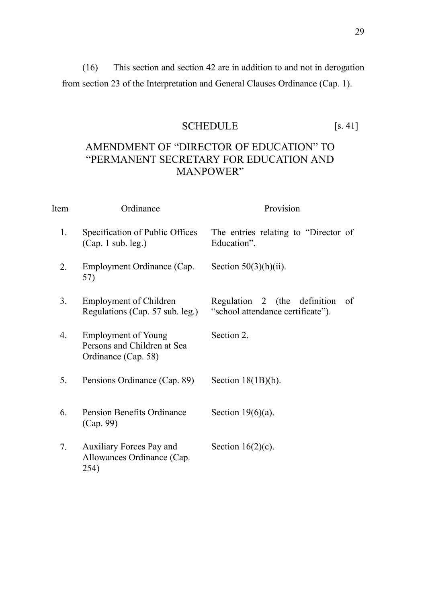(16) This section and section 42 are in addition to and not in derogation from section 23 of the Interpretation and General Clauses Ordinance (Cap. 1).

## SCHEDULE [s. 41]

## <span id="page-39-0"></span>AMENDMENT OF "DIRECTOR OF EDUCATION" TO "PERMANENT SECRETARY FOR EDUCATION AND MANPOWER"

| Item             | Ordinance                                                                        | Provision                                                               |
|------------------|----------------------------------------------------------------------------------|-------------------------------------------------------------------------|
| 1.               | Specification of Public Offices<br>(Cap. 1 sub. leg.)                            | The entries relating to "Director of<br>Education".                     |
| $\overline{2}$ . | Employment Ordinance (Cap.<br>57)                                                | Section $50(3)(h)(ii)$ .                                                |
| 3.               | <b>Employment of Children</b><br>Regulations (Cap. 57 sub. leg.)                 | Regulation 2 (the definition<br>of<br>"school attendance certificate"). |
| 4.               | <b>Employment of Young</b><br>Persons and Children at Sea<br>Ordinance (Cap. 58) | Section 2.                                                              |
| 5.               | Pensions Ordinance (Cap. 89)                                                     | Section $18(1B)(b)$ .                                                   |
| 6.               | <b>Pension Benefits Ordinance</b><br>(Cap. 99)                                   | Section $19(6)(a)$ .                                                    |
| 7.               | Auxiliary Forces Pay and<br>Allowances Ordinance (Cap.<br>254)                   | Section $16(2)(c)$ .                                                    |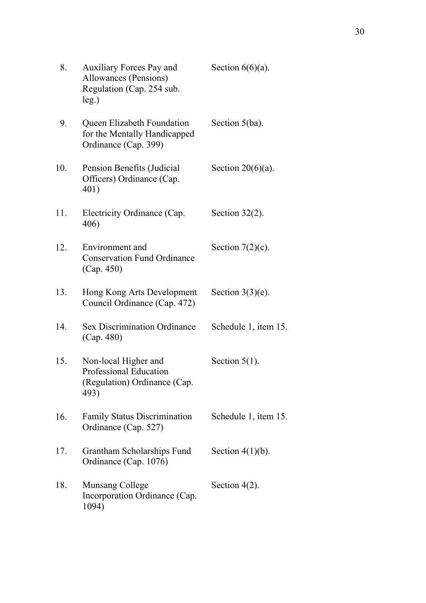| 8.  | <b>Auxiliary Forces Pay and</b><br>Allowances (Pensions)<br>Regulation (Cap. 254 sub.<br>$leg.$ ) | Section $6(6)(a)$ .  |
|-----|---------------------------------------------------------------------------------------------------|----------------------|
| 9.  | Queen Elizabeth Foundation<br>for the Mentally Handicapped<br>Ordinance (Cap. 399)                | Section $5(ba)$ .    |
| 10. | Pension Benefits (Judicial<br>Officers) Ordinance (Cap.<br>401)                                   | Section $20(6)(a)$ . |
| 11. | Electricity Ordinance (Cap.<br>406)                                                               | Section $32(2)$ .    |
| 12. | Environment and<br><b>Conservation Fund Ordinance</b><br>(Cap. 450)                               | Section $7(2)(c)$ .  |
| 13. | Hong Kong Arts Development<br>Council Ordinance (Cap. 472)                                        | Section $3(3)(e)$ .  |
| 14. | <b>Sex Discrimination Ordinance</b><br>(Cap. 480)                                                 | Schedule 1, item 15. |
| 15. | Non-local Higher and<br>Professional Education<br>(Regulation) Ordinance (Cap.<br>493)            | Section $5(1)$ .     |
| 16. | <b>Family Status Discrimination</b><br>Ordinance (Cap. 527)                                       | Schedule 1, item 15. |
| 17. | Grantham Scholarships Fund<br>Ordinance (Cap. 1076)                                               | Section $4(1)(b)$ .  |
| 18. | Munsang College<br>Incorporation Ordinance (Cap.<br>1094)                                         | Section $4(2)$ .     |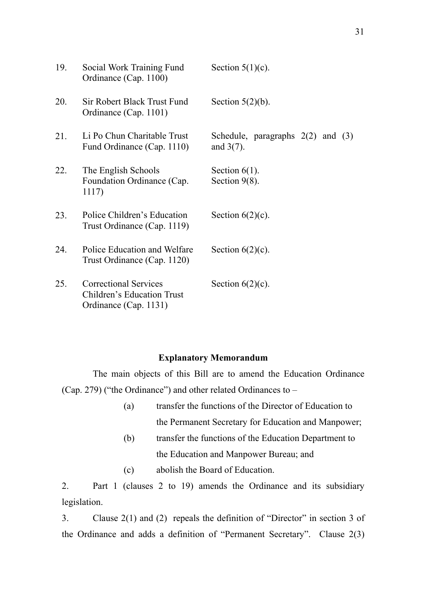| 19. | Social Work Training Fund<br>Ordinance (Cap. 1100)                                  | Section $5(1)(c)$ .                                   |
|-----|-------------------------------------------------------------------------------------|-------------------------------------------------------|
| 20. | Sir Robert Black Trust Fund<br>Ordinance (Cap. 1101)                                | Section $5(2)(b)$ .                                   |
| 21. | Li Po Chun Charitable Trust<br>Fund Ordinance (Cap. 1110)                           | Schedule, paragraphs $2(2)$ and $(3)$<br>and $3(7)$ . |
| 22. | The English Schools<br>Foundation Ordinance (Cap.<br>1117)                          | Section $6(1)$ .<br>Section $9(8)$ .                  |
| 23. | Police Children's Education<br>Trust Ordinance (Cap. 1119)                          | Section $6(2)(c)$ .                                   |
| 24. | Police Education and Welfare<br>Trust Ordinance (Cap. 1120)                         | Section $6(2)(c)$ .                                   |
| 25. | <b>Correctional Services</b><br>Children's Education Trust<br>Ordinance (Cap. 1131) | Section $6(2)(c)$ .                                   |

### **Explanatory Memorandum**

The main objects of this Bill are to amend the Education Ordinance (Cap. 279) ("the Ordinance") and other related Ordinances to –

- (a) transfer the functions of the Director of Education to the Permanent Secretary for Education and Manpower;
- (b) transfer the functions of the Education Department to the Education and Manpower Bureau; and
- (c) abolish the Board of Education.

2. Part 1 (clauses 2 to 19) amends the Ordinance and its subsidiary legislation.

3. Clause 2(1) and (2) repeals the definition of "Director" in section 3 of the Ordinance and adds a definition of "Permanent Secretary". Clause 2(3)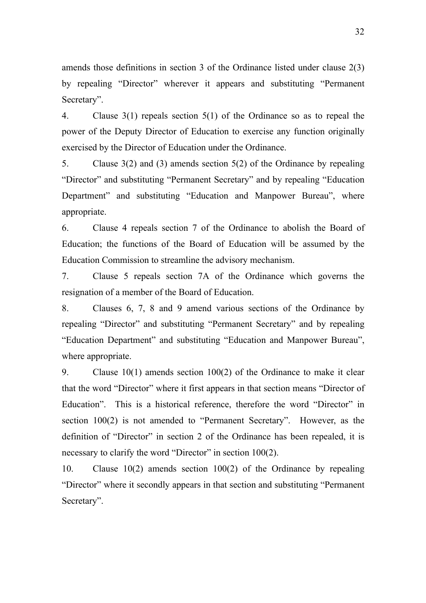amends those definitions in section 3 of the Ordinance listed under clause 2(3) by repealing "Director" wherever it appears and substituting "Permanent Secretary".

4. Clause 3(1) repeals section 5(1) of the Ordinance so as to repeal the power of the Deputy Director of Education to exercise any function originally exercised by the Director of Education under the Ordinance.

5. Clause 3(2) and (3) amends section 5(2) of the Ordinance by repealing "Director" and substituting "Permanent Secretary" and by repealing "Education Department" and substituting "Education and Manpower Bureau", where appropriate.

6. Clause 4 repeals section 7 of the Ordinance to abolish the Board of Education; the functions of the Board of Education will be assumed by the Education Commission to streamline the advisory mechanism.

7. Clause 5 repeals section 7A of the Ordinance which governs the resignation of a member of the Board of Education.

8. Clauses 6, 7, 8 and 9 amend various sections of the Ordinance by repealing "Director" and substituting "Permanent Secretary" and by repealing "Education Department" and substituting "Education and Manpower Bureau", where appropriate.

9. Clause 10(1) amends section 100(2) of the Ordinance to make it clear that the word "Director" where it first appears in that section means "Director of Education". This is a historical reference, therefore the word "Director" in section 100(2) is not amended to "Permanent Secretary". However, as the definition of "Director" in section 2 of the Ordinance has been repealed, it is necessary to clarify the word "Director" in section 100(2).

10. Clause 10(2) amends section 100(2) of the Ordinance by repealing "Director" where it secondly appears in that section and substituting "Permanent Secretary".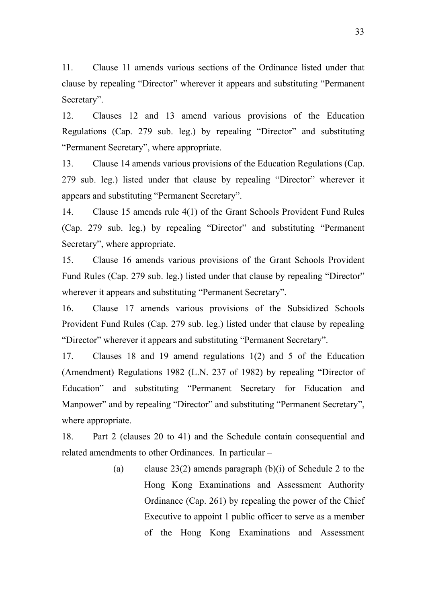11. Clause 11 amends various sections of the Ordinance listed under that clause by repealing "Director" wherever it appears and substituting "Permanent Secretary".

12. Clauses 12 and 13 amend various provisions of the Education Regulations (Cap. 279 sub. leg.) by repealing "Director" and substituting "Permanent Secretary", where appropriate.

13. Clause 14 amends various provisions of the Education Regulations (Cap. 279 sub. leg.) listed under that clause by repealing "Director" wherever it appears and substituting "Permanent Secretary".

14. Clause 15 amends rule 4(1) of the Grant Schools Provident Fund Rules (Cap. 279 sub. leg.) by repealing "Director" and substituting "Permanent Secretary", where appropriate.

15. Clause 16 amends various provisions of the Grant Schools Provident Fund Rules (Cap. 279 sub. leg.) listed under that clause by repealing "Director" wherever it appears and substituting "Permanent Secretary".

16. Clause 17 amends various provisions of the Subsidized Schools Provident Fund Rules (Cap. 279 sub. leg.) listed under that clause by repealing "Director" wherever it appears and substituting "Permanent Secretary".

17. Clauses 18 and 19 amend regulations 1(2) and 5 of the Education (Amendment) Regulations 1982 (L.N. 237 of 1982) by repealing "Director of Education" and substituting "Permanent Secretary for Education and Manpower" and by repealing "Director" and substituting "Permanent Secretary", where appropriate.

18. Part 2 (clauses 20 to 41) and the Schedule contain consequential and related amendments to other Ordinances. In particular –

> (a) clause 23(2) amends paragraph  $(b)(i)$  of Schedule 2 to the Hong Kong Examinations and Assessment Authority Ordinance (Cap. 261) by repealing the power of the Chief Executive to appoint 1 public officer to serve as a member of the Hong Kong Examinations and Assessment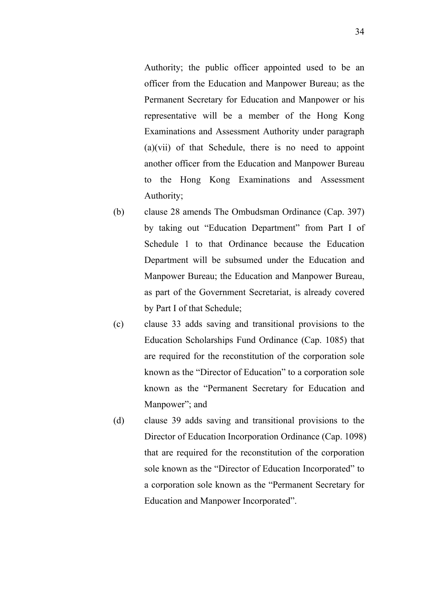Authority; the public officer appointed used to be an officer from the Education and Manpower Bureau; as the Permanent Secretary for Education and Manpower or his representative will be a member of the Hong Kong Examinations and Assessment Authority under paragraph (a)(vii) of that Schedule, there is no need to appoint another officer from the Education and Manpower Bureau to the Hong Kong Examinations and Assessment Authority;

- (b) clause 28 amends The Ombudsman Ordinance (Cap. 397) by taking out "Education Department" from Part I of Schedule 1 to that Ordinance because the Education Department will be subsumed under the Education and Manpower Bureau; the Education and Manpower Bureau, as part of the Government Secretariat, is already covered by Part I of that Schedule;
- (c) clause 33 adds saving and transitional provisions to the Education Scholarships Fund Ordinance (Cap. 1085) that are required for the reconstitution of the corporation sole known as the "Director of Education" to a corporation sole known as the "Permanent Secretary for Education and Manpower"; and
- (d) clause 39 adds saving and transitional provisions to the Director of Education Incorporation Ordinance (Cap. 1098) that are required for the reconstitution of the corporation sole known as the "Director of Education Incorporated" to a corporation sole known as the "Permanent Secretary for Education and Manpower Incorporated".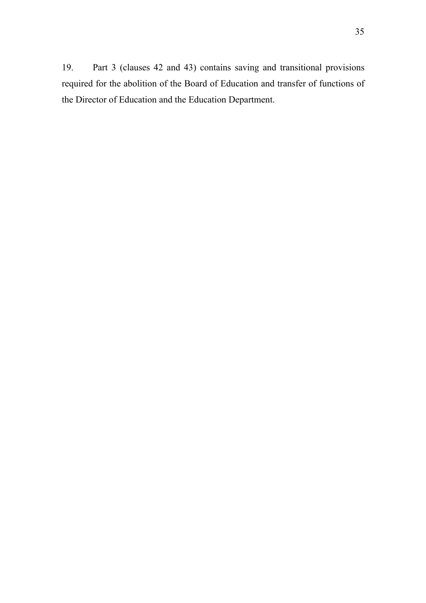19. Part 3 (clauses 42 and 43) contains saving and transitional provisions required for the abolition of the Board of Education and transfer of functions of the Director of Education and the Education Department.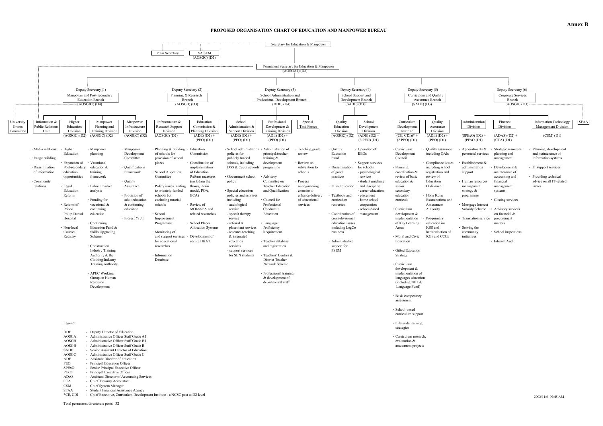#### **PROPOSED ORGANISATION CHART OF EDUCATION AND MANPOWER BUREAU**

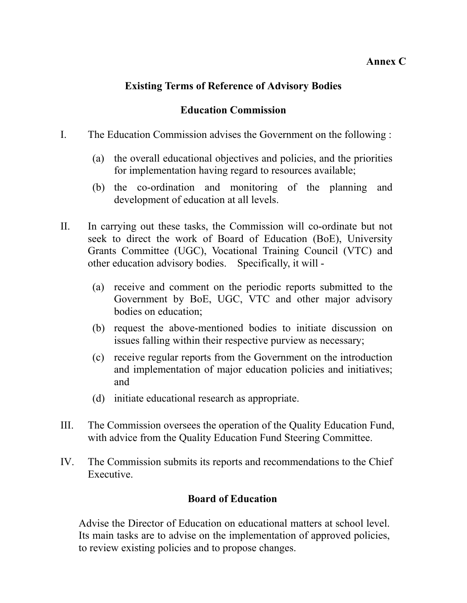### **Annex C**

## **Existing Terms of Reference of Advisory Bodies**

## **Education Commission**

- I. The Education Commission advises the Government on the following :
	- (a) the overall educational objectives and policies, and the priorities for implementation having regard to resources available;
	- (b) the co-ordination and monitoring of the planning and development of education at all levels.
- II. In carrying out these tasks, the Commission will co-ordinate but not seek to direct the work of Board of Education (BoE), University Grants Committee (UGC), Vocational Training Council (VTC) and other education advisory bodies. Specifically, it will -
	- (a) receive and comment on the periodic reports submitted to the Government by BoE, UGC, VTC and other major advisory bodies on education;
	- (b) request the above-mentioned bodies to initiate discussion on issues falling within their respective purview as necessary;
	- (c) receive regular reports from the Government on the introduction and implementation of major education policies and initiatives; and
	- (d) initiate educational research as appropriate.
- III. The Commission oversees the operation of the Quality Education Fund, with advice from the Quality Education Fund Steering Committee.
- IV. The Commission submits its reports and recommendations to the Chief Executive.

## **Board of Education**

Advise the Director of Education on educational matters at school level. Its main tasks are to advise on the implementation of approved policies, to review existing policies and to propose changes.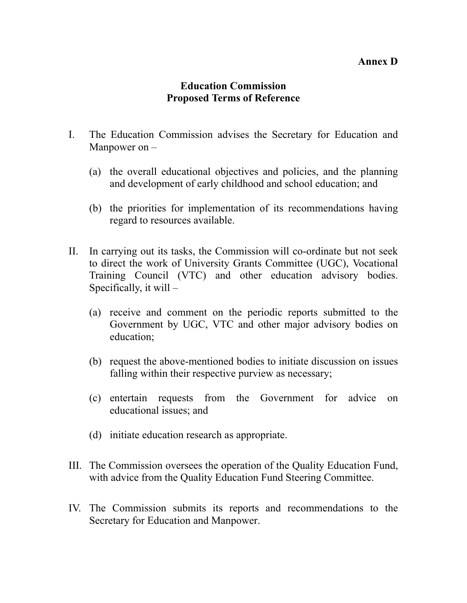### **Annex D**

## **Education Commission Proposed Terms of Reference**

- I. The Education Commission advises the Secretary for Education and Manpower on –
	- (a) the overall educational objectives and policies, and the planning and development of early childhood and school education; and
	- (b) the priorities for implementation of its recommendations having regard to resources available.
- II. In carrying out its tasks, the Commission will co-ordinate but not seek to direct the work of University Grants Committee (UGC), Vocational Training Council (VTC) and other education advisory bodies. Specifically, it will –
	- (a) receive and comment on the periodic reports submitted to the Government by UGC, VTC and other major advisory bodies on education;
	- (b) request the above-mentioned bodies to initiate discussion on issues falling within their respective purview as necessary;
	- (c) entertain requests from the Government for advice on educational issues; and
	- (d) initiate education research as appropriate.
- III. The Commission oversees the operation of the Quality Education Fund, with advice from the Quality Education Fund Steering Committee.
- IV. The Commission submits its reports and recommendations to the Secretary for Education and Manpower.